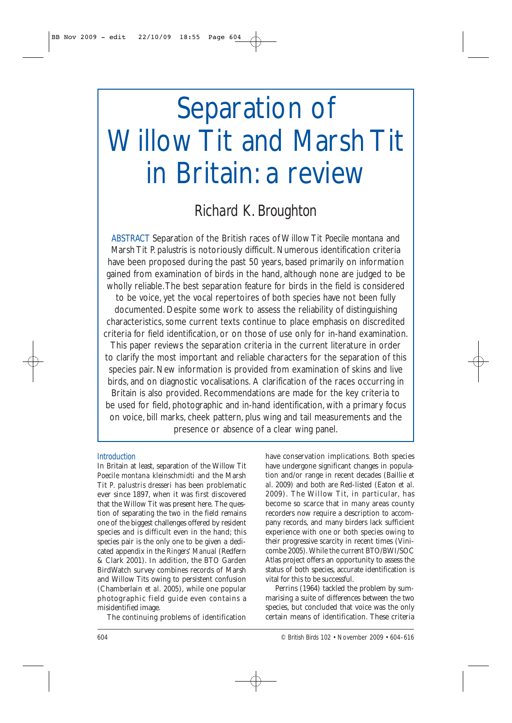#### *Richard K. Broughton*

*ABSTRACT* Separation of the British races of Willow Tit *Poecile montana* and Marsh Tit *P. palustris* is notoriously difficult. Numerous identification criteria have been proposed during the past 50 years, based primarily on information gained from examination of birds in the hand, although none are judged to be wholly reliable.The best separation feature for birds in the field is considered

to be voice, yet the vocal repertoires of both species have not been fully documented. Despite some work to assess the reliability of distinguishing characteristics, some current texts continue to place emphasis on discredited criteria for field identification, or on those of use only for in-hand examination. This paper reviews the separation criteria in the current literature in order to clarify the most important and reliable characters for the separation of this species pair. New information is provided from examination of skins and live birds, and on diagnostic vocalisations. A clarification of the races occurring in Britain is also provided. Recommendations are made for the key criteria to be used for field, photographic and in-hand identification, with a primary focus on voice, bill marks, cheek pattern, plus wing and tail measurements and the presence or absence of a clear wing panel.

#### *Introduction*

In Britain at least, separation of the Willow Tit *Poecile montana kleinschmidti* and the Marsh Tit *P. palustris dresseri* has been problematic ever since 1897, when it was first discovered that the Willow Tit was present here. The question of separating the two in the field remains one of the biggest challenges offered by resident species and is difficult even in the hand; this species pair is the only one to be given a dedicated appendix in the *Ringers' Manual* (Redfern & Clark 2001). In addition, the BTO Garden BirdWatch survey combines records of Marsh and Willow Tits owing to persistent confusion (Chamberlain *et al*. 2005), while one popular photographic field guide even contains a misidentified image.

The continuing problems of identification

have conservation implications. Both species have undergone significant changes in population and/or range in recent decades (Baillie *et al*. 2009) and both are Red-listed (Eaton *et al*. 2009). The Willow Tit, in particular, has become so scarce that in many areas county recorders now require a description to accompany records, and many birders lack sufficient experience with one or both species owing to their progressive scarcity in recent times (Vinicombe 2005). While the current BTO/BWI/SOC Atlas project offers an opportunity to assess the status of both species, accurate identification is vital for this to be successful.

Perrins (1964) tackled the problem by summarising a suite of differences between the two species, but concluded that voice was the only certain means of identification. These criteria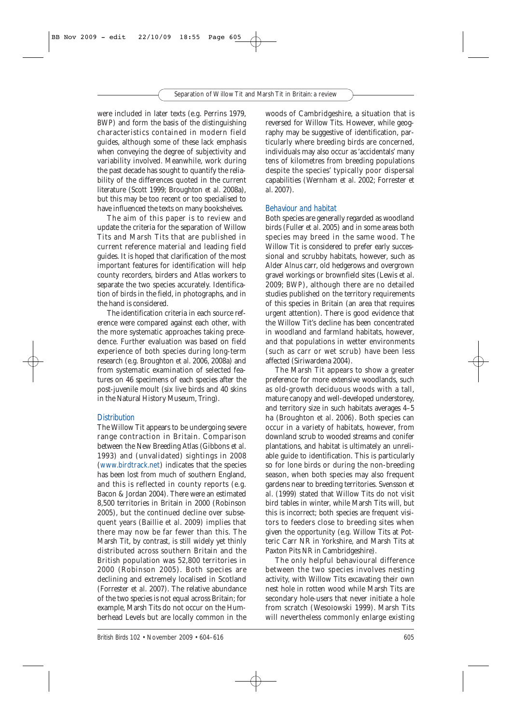were included in later texts (e.g. Perrins 1979, *BWP*) and form the basis of the distinguishing characteristics contained in modern field guides, although some of these lack emphasis when conveying the degree of subjectivity and variability involved. Meanwhile, work during the past decade has sought to quantify the reliability of the differences quoted in the current literature (Scott 1999; Broughton *et al*. 2008a), but this may be too recent or too specialised to have influenced the texts on many bookshelves.

The aim of this paper is to review and update the criteria for the separation of Willow Tits and Marsh Tits that are published in current reference material and leading field guides. It is hoped that clarification of the most important features for identification will help county recorders, birders and Atlas workers to separate the two species accurately. Identification of birds in the field, in photographs, and in the hand is considered.

The identification criteria in each source reference were compared against each other, with the more systematic approaches taking precedence. Further evaluation was based on field experience of both species during long-term research (e.g. Broughton *et al*. 2006, 2008a) and from systematic examination of selected features on 46 specimens of each species after the post-juvenile moult (six live birds and 40 skins in the Natural History Museum, Tring).

#### *Distribution*

The Willow Tit appears to be undergoing severe range contraction in Britain. Comparison between the New Breeding Atlas (Gibbons *et al*. 1993) and (unvalidated) sightings in 2008 (www.birdtrack.net) indicates that the species has been lost from much of southern England, and this is reflected in county reports (e.g. Bacon & Jordan 2004). There were an estimated 8,500 territories in Britain in 2000 (Robinson 2005), but the continued decline over subsequent years (Baillie *et al*. 2009) implies that there may now be far fewer than this. The Marsh Tit, by contrast, is still widely yet thinly distributed across southern Britain and the British population was 52,800 territories in 2000 (Robinson 2005). Both species are declining and extremely localised in Scotland (Forrester *et al*. 2007). The relative abundance of the two species is not equal across Britain; for example, Marsh Tits do not occur on the Humberhead Levels but are locally common in the woods of Cambridgeshire, a situation that is reversed for Willow Tits. However, while geography may be suggestive of identification, particularly where breeding birds are concerned, individuals may also occur as 'accidentals' many tens of kilometres from breeding populations despite the species' typically poor dispersal capabilities (Wernham *et al*. 2002; Forrester *et al*. 2007).

#### *Behaviour and habitat*

Both species are generally regarded as woodland birds (Fuller *et al*. 2005) and in some areas both species may breed in the same wood. The Willow Tit is considered to prefer early successional and scrubby habitats, however, such as Alder *Alnus* carr, old hedgerows and overgrown gravel workings or brownfield sites (Lewis *et al*. 2009; *BWP*), although there are no detailed studies published on the territory requirements of this species in Britain (an area that requires urgent attention). There is good evidence that the Willow Tit's decline has been concentrated in woodland and farmland habitats, however, and that populations in wetter environments (such as carr or wet scrub) have been less affected (Siriwardena 2004).

The Marsh Tit appears to show a greater preference for more extensive woodlands, such as old-growth deciduous woods with a tall, mature canopy and well-developed understorey, and territory size in such habitats averages 4–5 ha (Broughton *et al*. 2006). Both species can occur in a variety of habitats, however, from downland scrub to wooded streams and conifer plantations, and habitat is ultimately an unreliable guide to identification. This is particularly so for lone birds or during the non-breeding season, when both species may also frequent gardens near to breeding territories. Svensson *et al*. (1999) stated that Willow Tits do not visit bird tables in winter, while Marsh Tits will, but this is incorrect; both species are frequent visitors to feeders close to breeding sites when given the opportunity (e.g. Willow Tits at Potteric Carr NR in Yorkshire, and Marsh Tits at Paxton Pits NR in Cambridgeshire).

The only helpful behavioural difference between the two species involves nesting activity, with Willow Tits excavating their own nest hole in rotten wood while Marsh Tits are secondary hole-users that never initiate a hole from scratch (Wesołowski 1999). Marsh Tits will nevertheless commonly enlarge existing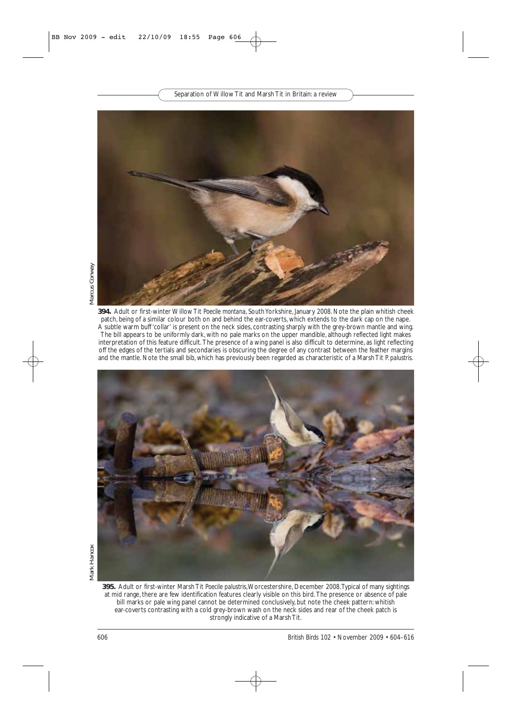

**394.** Adult or first-winter Willow Tit *Poecile montana*, South Yorkshire, January 2008. Note the plain whitish cheek patch, being of a similar colour both on and behind the ear-coverts, which extends to the dark cap on the nape. A subtle warm buff 'collar' is present on the neck sides, contrasting sharply with the grey-brown mantle and wing. The bill appears to be uniformly dark, with no pale marks on the upper mandible, although reflected light makes interpretation of this feature difficult. The presence of a wing panel is also difficult to determine, as light reflecting off the edges of the tertials and secondaries is obscuring the degree of any contrast between the feather margins and the mantle. Note the small bib, which has previously been regarded as characteristic of a Marsh Tit *P. palustris*.



**395.** Adult or first-winter Marsh Tit *Poecile palustris*,Worcestershire, December 2008.Typical of many sightings at mid range, there are few identification features clearly visible on this bird. The presence or absence of pale bill marks or pale wing panel cannot be determined conclusively, but note the cheek pattern: whitish ear-coverts contrasting with a cold grey-brown wash on the neck sides and rear of the cheek patch is strongly indicative of a Marsh Tit.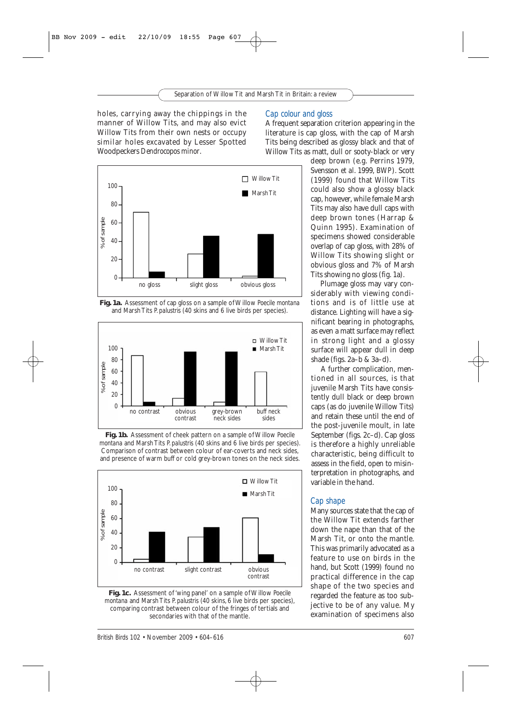holes, carrying away the chippings in the manner of Willow Tits, and may also evict Willow Tits from their own nests or occupy similar holes excavated by Lesser Spotted Woodpeckers *Dendrocopos minor*.

#### *Cap colour and gloss*

A frequent separation criterion appearing in the literature is cap gloss, with the cap of Marsh Tits being described as glossy black and that of Willow Tits as matt, dull or sooty-black or very



**Fig. 1a.** Assessment of cap gloss on a sample of Willow *Poecile montana* and Marsh Tits *P. palustris* (40 skins and 6 live birds per species).



**Fig. 1b.** Assessment of cheek pattern on a sample of Willow *Poecile montana* and Marsh Tits *P. palustris* (40 skins and 6 live birds per species). Comparison of contrast between colour of ear-coverts and neck sides, and presence of warm buff or cold grey-brown tones on the neck sides.



**Fig. 1c.** Assessment of 'wing panel' on a sample of Willow *Poecile montana* and Marsh Tits *P. palustris* (40 skins, 6 live birds per species), comparing contrast between colour of the fringes of tertials and secondaries with that of the mantle.

*British Birds* 102 • November 2009 • 604–616 607

deep brown (e.g. Perrins 1979, Svensson *et al*. 1999, *BWP*). Scott (1999) found that Willow Tits could also show a glossy black cap, however, while female Marsh Tits may also have dull caps with deep brown tones (Harrap & Quinn 1995). Examination of specimens showed considerable overlap of cap gloss, with 28% of Willow Tits showing slight or obvious gloss and 7% of Marsh Tits showing no gloss (fig. 1a).

Plumage gloss may vary considerably with viewing conditions and is of little use at distance. Lighting will have a significant bearing in photographs, as even a matt surface may reflect in strong light and a glossy surface will appear dull in deep shade (figs. 2a–b & 3a–d).

A further complication, mentioned in all sources, is that juvenile Marsh Tits have consistently dull black or deep brown caps (as do juvenile Willow Tits) and retain these until the end of the post-juvenile moult, in late September (figs. 2c–d). Cap gloss is therefore a highly unreliable characteristic, being difficult to assess in the field, open to misinterpretation in photographs, and variable in the hand.

#### *Cap shape*

Many sources state that the cap of the Willow Tit extends farther down the nape than that of the Marsh Tit, or onto the mantle. This was primarily advocated as a feature to use on birds in the hand, but Scott (1999) found no practical difference in the cap shape of the two species and regarded the feature as too subjective to be of any value. My examination of specimens also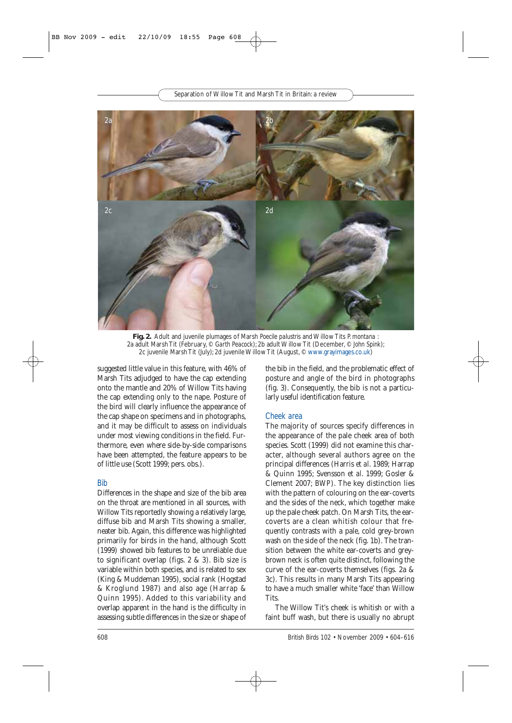**Fig. 2.** Adult and juvenile plumages of Marsh *Poecile palustris* and Willow Tits *P. montana* : 2a adult Marsh Tit (February, © *Garth Peacock*); 2b adult Willow Tit (December, © *John Spink*); 2c juvenile Marsh Tit (July); 2d juvenile Willow Tit (August, © www.grayimages.co.uk)

suggested little value in this feature, with 46% of Marsh Tits adjudged to have the cap extending onto the mantle and 20% of Willow Tits having the cap extending only to the nape. Posture of the bird will clearly influence the appearance of the cap shape on specimens and in photographs, and it may be difficult to assess on individuals under most viewing conditions in the field. Furthermore, even where side-by-side comparisons have been attempted, the feature appears to be of little use (Scott 1999; pers. obs.).

#### *Bib*

Differences in the shape and size of the bib area on the throat are mentioned in all sources, with Willow Tits reportedly showing a relatively large, diffuse bib and Marsh Tits showing a smaller, neater bib. Again, this difference was highlighted primarily for birds in the hand, although Scott (1999) showed bib features to be unreliable due to significant overlap (figs. 2 & 3). Bib size is variable within both species, and is related to sex (King & Muddeman 1995), social rank (Hogstad & Kroglund 1987) and also age (Harrap & Quinn 1995). Added to this variability and overlap apparent in the hand is the difficulty in assessing subtle differences in the size or shape of the bib in the field, and the problematic effect of posture and angle of the bird in photographs (fig. 3). Consequently, the bib is not a particularly useful identification feature.

#### *Cheek area*

The majority of sources specify differences in the appearance of the pale cheek area of both species. Scott (1999) did not examine this character, although several authors agree on the principal differences (Harris *et al*. 1989; Harrap & Quinn 1995; Svensson *et al*. 1999; Gosler & Clement 2007; *BWP*). The key distinction lies with the pattern of colouring on the ear-coverts and the sides of the neck, which together make up the pale cheek patch. On Marsh Tits, the earcoverts are a clean whitish colour that frequently contrasts with a pale, cold grey-brown wash on the side of the neck (fig. 1b). The transition between the white ear-coverts and greybrown neck is often quite distinct, following the curve of the ear-coverts themselves (figs. 2a & 3c). This results in many Marsh Tits appearing to have a much smaller white 'face' than Willow **Tits** 

The Willow Tit's cheek is whitish or with a faint buff wash, but there is usually no abrupt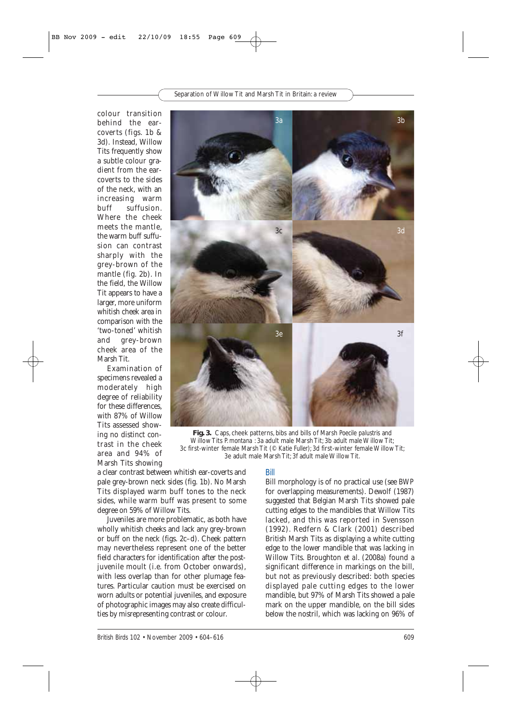colour transition behind the earcoverts (figs. 1b & 3d). Instead, Willow Tits frequently show a subtle colour gradient from the earcoverts to the sides of the neck, with an increasing warm buff suffusion. Where the cheek meets the mantle, the warm buff suffusion can contrast sharply with the grey-brown of the mantle (fig. 2b). In the field, the Willow Tit appears to have a larger, more uniform whitish cheek area in comparison with the 'two-toned' whitish and grey-brown cheek area of the Marsh Tit.

Examination of specimens revealed a moderately high degree of reliability for these differences, with 87% of Willow Tits assessed showing no distinct contrast in the cheek area and 94% of Marsh Tits showing



**Fig. 3.** Caps, cheek patterns, bibs and bills of Marsh *Poecile palustris* and Willow Tits *P. montana* : 3a adult male Marsh Tit; 3b adult male Willow Tit; 3c first-winter female Marsh Tit (© *Katie Fuller*); 3d first-winter female Willow Tit; 3e adult male Marsh Tit; 3f adult male Willow Tit.

a clear contrast between whitish ear-coverts and pale grey-brown neck sides (fig. 1b). No Marsh Tits displayed warm buff tones to the neck sides, while warm buff was present to some degree on 59% of Willow Tits.

Juveniles are more problematic, as both have wholly whitish cheeks and lack any grey-brown or buff on the neck (figs. 2c–d). Cheek pattern may nevertheless represent one of the better field characters for identification after the postjuvenile moult (i.e. from October onwards), with less overlap than for other plumage features. Particular caution must be exercised on worn adults or potential juveniles, and exposure of photographic images may also create difficulties by misrepresenting contrast or colour.

#### *Bill*

Bill morphology is of no practical use (see *BWP* for overlapping measurements). Dewolf (1987) suggested that Belgian Marsh Tits showed pale cutting edges to the mandibles that Willow Tits lacked, and this was reported in Svensson (1992). Redfern & Clark (2001) described British Marsh Tits as displaying a white cutting edge to the lower mandible that was lacking in Willow Tits. Broughton *et al*. (2008a) found a significant difference in markings on the bill, but not as previously described: both species displayed pale cutting edges to the lower mandible, but 97% of Marsh Tits showed a pale mark on the upper mandible, on the bill sides below the nostril, which was lacking on 96% of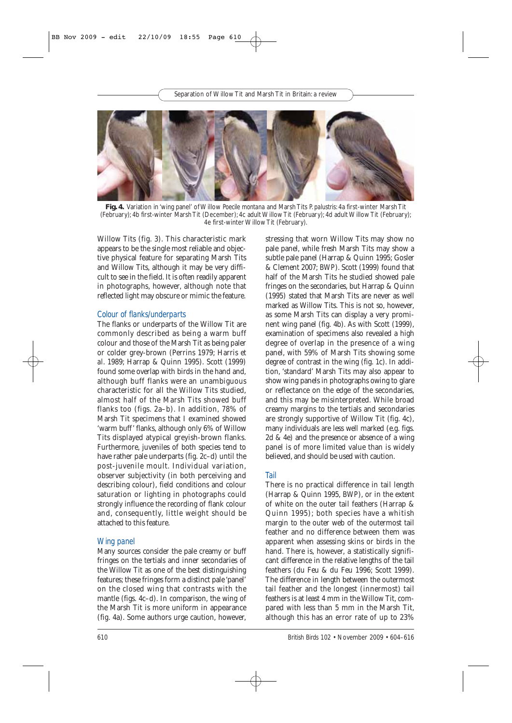**Fig. 4.** Variation in 'wing panel' of Willow *Poecile montana* and Marsh Tits *P. palustris*: 4a first-winter Marsh Tit (February); 4b first-winter Marsh Tit (December); 4c adult Willow Tit (February); 4d adult Willow Tit (February); 4e first-winter Willow Tit (February).

Willow Tits (fig. 3). This characteristic mark appears to be the single most reliable and objective physical feature for separating Marsh Tits and Willow Tits, although it may be very difficult to see in the field. It is often readily apparent in photographs, however, although note that reflected light may obscure or mimic the feature.

#### *Colour of flanks/underparts*

The flanks or underparts of the Willow Tit are commonly described as being a warm buff colour and those of the Marsh Tit as being paler or colder grey-brown (Perrins 1979; Harris *et al*. 1989; Harrap & Quinn 1995). Scott (1999) found some overlap with birds in the hand and, although buff flanks were an unambiguous characteristic for all the Willow Tits studied, almost half of the Marsh Tits showed buff flanks too (figs. 2a–b). In addition, 78% of Marsh Tit specimens that I examined showed 'warm buff' flanks, although only 6% of Willow Tits displayed atypical greyish-brown flanks. Furthermore, juveniles of both species tend to have rather pale underparts (fig. 2c–d) until the post-juvenile moult. Individual variation, observer subjectivity (in both perceiving and describing colour), field conditions and colour saturation or lighting in photographs could strongly influence the recording of flank colour and, consequently, little weight should be attached to this feature.

#### *Wing panel*

Many sources consider the pale creamy or buff fringes on the tertials and inner secondaries of the Willow Tit as one of the best distinguishing features; these fringes form a distinct pale 'panel' on the closed wing that contrasts with the mantle (figs. 4c–d). In comparison, the wing of the Marsh Tit is more uniform in appearance (fig. 4a). Some authors urge caution, however,

stressing that worn Willow Tits may show no pale panel, while fresh Marsh Tits may show a subtle pale panel (Harrap & Quinn 1995; Gosler & Clement 2007; *BWP*). Scott (1999) found that half of the Marsh Tits he studied showed pale fringes on the secondaries, but Harrap & Quinn (1995) stated that Marsh Tits are never as well marked as Willow Tits. This is not so, however, as some Marsh Tits can display a very prominent wing panel (fig. 4b). As with Scott (1999), examination of specimens also revealed a high degree of overlap in the presence of a wing panel, with 59% of Marsh Tits showing some degree of contrast in the wing (fig. 1c). In addition, 'standard' Marsh Tits may also appear to show wing panels in photographs owing to glare or reflectance on the edge of the secondaries, and this may be misinterpreted. While broad creamy margins to the tertials and secondaries are strongly supportive of Willow Tit (fig. 4c), many individuals are less well marked (e.g. figs. 2d & 4e) and the presence or absence of a wing panel is of more limited value than is widely believed, and should be used with caution.

#### *Tail*

There is no practical difference in tail length (Harrap & Quinn 1995, *BWP*), or in the extent of white on the outer tail feathers (Harrap & Quinn 1995); both species have a whitish margin to the outer web of the outermost tail feather and no difference between them was apparent when assessing skins or birds in the hand. There is, however, a statistically significant difference in the relative lengths of the tail feathers (du Feu & du Feu 1996; Scott 1999). The difference in length between the outermost tail feather and the longest (innermost) tail feathers is at least 4 mm in the Willow Tit, compared with less than 5 mm in the Marsh Tit, although this has an error rate of up to 23%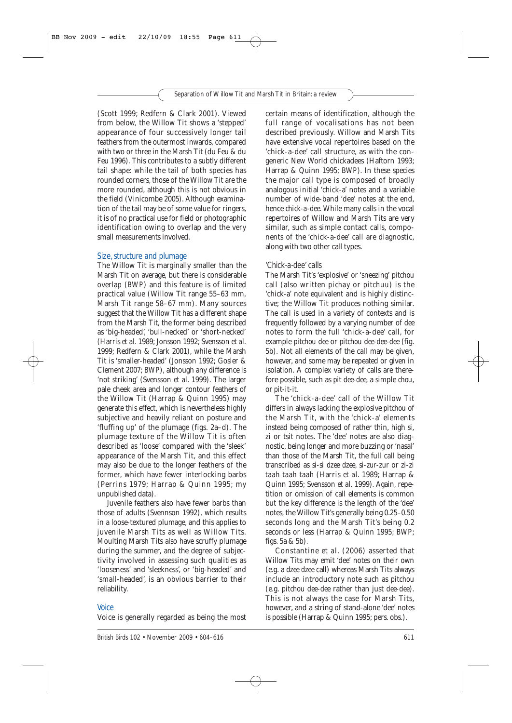(Scott 1999; Redfern & Clark 2001). Viewed from below, the Willow Tit shows a 'stepped' appearance of four successively longer tail feathers from the outermost inwards, compared with two or three in the Marsh Tit (du Feu & du Feu 1996). This contributes to a subtly different tail shape: while the tail of both species has rounded corners, those of the Willow Tit are the more rounded, although this is not obvious in the field (Vinicombe 2005). Although examination of the tail may be of some value for ringers, it is of no practical use for field or photographic identification owing to overlap and the very small measurements involved.

#### *Size, structure and plumage*

The Willow Tit is marginally smaller than the Marsh Tit on average, but there is considerable overlap (*BWP*) and this feature is of limited practical value (Willow Tit range 55–63 mm, Marsh Tit range 58–67 mm). Many sources suggest that the Willow Tit has a different shape from the Marsh Tit, the former being described as 'big-headed', 'bull-necked' or 'short-necked' (Harris *et al*. 1989; Jonsson 1992; Svensson *et al*. 1999; Redfern & Clark 2001), while the Marsh Tit is 'smaller-headed' (Jonsson 1992; Gosler & Clement 2007; *BWP*), although any difference is 'not striking' (Svensson *et al*. 1999). The larger pale cheek area and longer contour feathers of the Willow Tit (Harrap & Quinn 1995) may generate this effect, which is nevertheless highly subjective and heavily reliant on posture and 'fluffing up' of the plumage (figs. 2a–d). The plumage texture of the Willow Tit is often described as 'loose' compared with the 'sleek' appearance of the Marsh Tit, and this effect may also be due to the longer feathers of the former, which have fewer interlocking barbs (Perrins 1979; Harrap & Quinn 1995; my unpublished data).

Juvenile feathers also have fewer barbs than those of adults (Svennson 1992), which results in a loose-textured plumage, and this applies to juvenile Marsh Tits as well as Willow Tits. Moulting Marsh Tits also have scruffy plumage during the summer, and the degree of subjectivity involved in assessing such qualities as 'looseness' and 'sleekness', or 'big-headed' and 'small-headed', is an obvious barrier to their reliability.

#### *Voice*

Voice is generally regarded as being the most

certain means of identification, although the full range of vocalisations has not been described previously. Willow and Marsh Tits have extensive vocal repertoires based on the 'chick-a-dee' call structure, as with the congeneric New World chickadees (Haftorn 1993; Harrap & Quinn 1995; *BWP*). In these species the major call type is composed of broadly analogous initial 'chick-a' notes and a variable number of wide-band 'dee' notes at the end, hence *chick-a-dee*. While many calls in the vocal repertoires of Willow and Marsh Tits are very similar, such as simple contact calls, components of the 'chick-a-dee' call are diagnostic, along with two other call types.

#### *'Chick-a-dee' calls*

The Marsh Tit's 'explosive' or 'sneezing' *pitchou* call (also written *pichay* or *pitchuu*) is the 'chick-a' note equivalent and is highly distinctive; the Willow Tit produces nothing similar. The call is used in a variety of contexts and is frequently followed by a varying number of *dee* notes to form the full 'chick-a-dee' call, for example *pitchou dee* or *pitchou dee-dee-dee* (fig. 5b). Not all elements of the call may be given, however, and some may be repeated or given in isolation. A complex variety of calls are therefore possible, such as *pit dee-dee*, a simple *chou*, or *pit-it-it*.

The 'chick-a-dee' call of the Willow Tit differs in always lacking the explosive *pitchou* of the Marsh Tit, with the 'chick-a' elements instead being composed of rather thin, high *si*, *zi* or *tsit* notes. The 'dee' notes are also diagnostic, being longer and more buzzing or 'nasal' than those of the Marsh Tit, the full call being transcribed as *si-si dzee dzee*, *si-zur-zur* or *zi-zi taah taah taah* (Harris *et al*. 1989; Harrap & Quinn 1995; Svensson *et al*. 1999). Again, repetition or omission of call elements is common but the key difference is the length of the 'dee' notes, the Willow Tit's generally being 0.25–0.50 seconds long and the Marsh Tit's being 0.2 seconds or less (Harrap & Quinn 1995; *BWP*; figs. 5a & 5b).

Constantine *et al*. (2006) asserted that Willow Tits may emit 'dee' notes on their own (e.g. a *dzee dzee* call) whereas Marsh Tits always include an introductory note such as *pitchou* (e.g. *pitchou dee-dee* rather than just *dee-dee*). This is not always the case for Marsh Tits, however, and a string of stand-alone 'dee' notes is possible (Harrap & Quinn 1995; pers. obs.).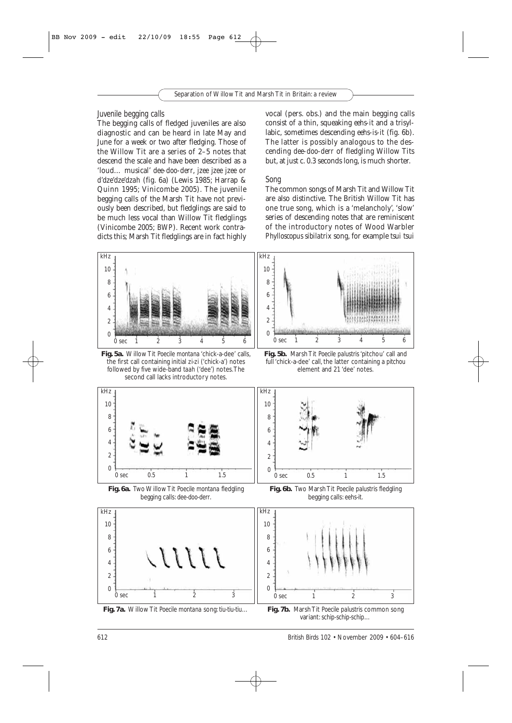#### *Juvenile begging calls*

The begging calls of fledged juveniles are also diagnostic and can be heard in late May and June for a week or two after fledging. Those of the Willow Tit are a series of 2–5 notes that descend the scale and have been described as a 'loud… musical' *dee-doo-derr*, *jzee jzee jzee* or *d'dze'dze'dzah* (fig. 6a) (Lewis 1985; Harrap & Quinn 1995; Vinicombe 2005). The juvenile begging calls of the Marsh Tit have not previously been described, but fledglings are said to be much less vocal than Willow Tit fledglings (Vinicombe 2005; *BWP*). Recent work contradicts this; Marsh Tit fledglings are in fact highly vocal (pers. obs.) and the main begging calls consist of a thin, squeaking *eehs-it* and a trisyllabic, sometimes descending *eehs-is-it* (fig. 6b). The latter is possibly analogous to the descending *dee-doo-derr* of fledgling Willow Tits but, at just c. 0.3 seconds long, is much shorter.

#### *Song*

The common songs of Marsh Tit and Willow Tit are also distinctive. The British Willow Tit has one true song, which is a 'melancholy', 'slow' series of descending notes that are reminiscent of the introductory notes of Wood Warbler *Phylloscopus sibilatrix* song, for example *tsui tsui*



**Fig. 5a.** Willow Tit *Poecile montana* 'chick-a-dee' calls, the first call containing initial *zi-zi* ('chick-a') notes followed by five wide-band *taah* ('dee') notes.The second call lacks introductory notes.



**Fig. 5b.** Marsh Tit *Poecile palustris* 'pitchou' call and full 'chick-a-dee' call, the latter containing a *pitchou* element and 21 'dee' notes.





**Fig. 6a.** Two Willow Tit *Poecile montana* fledgling begging calls: *dee-doo-derr*.







variant: *schip-schip-schip*…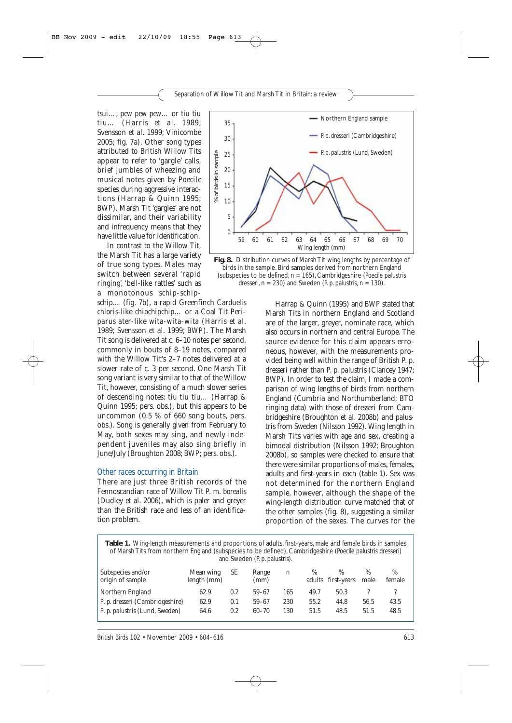*tsui…*, *pew pew pew…* or *tiu tiu tiu…* (Harris *et al*. 1989; Svensson *et al*. 1999; Vinicombe 2005; fig. 7a). Other song types attributed to British Willow Tits appear to refer to 'gargle' calls, brief jumbles of wheezing and musical notes given by *Poecile* species during aggressive interactions (Harrap & Quinn 1995; *BWP*). Marsh Tit 'gargles' are not dissimilar, and their variability and infrequency means that they have little value for identification.

In contrast to the Willow Tit, the Marsh Tit has a large variety of true song types. Males may switch between several 'rapid ringing', 'bell-like rattles' such as a monotonous *schip-schip-*

*schip…* (fig. 7b), a rapid Greenfinch *Carduelis chloris*-like *chipchipchip…* or a Coal Tit *Periparus ater*-like *wita-wita-wita* (Harris *et al*. 1989; Svensson *et al*. 1999; *BWP*). The Marsh Tit song is delivered at c. 6–10 notes per second, commonly in bouts of 8–19 notes, compared with the Willow Tit's 2–7 notes delivered at a slower rate of c. 3 per second. One Marsh Tit song variant is very similar to that of the Willow Tit, however, consisting of a much slower series of descending notes: *tiu tiu tiu…* (Harrap & Quinn 1995; pers. obs.), but this appears to be uncommon (0.5 % of 660 song bouts, pers. obs.). Song is generally given from February to May, both sexes may sing, and newly independent juveniles may also sing briefly in June/July (Broughton 2008; *BWP*; pers. obs.).

#### *Other races occurring in Britain*

There are just three British records of the Fennoscandian race of Willow Tit *P. m. borealis* (Dudley *et al*. 2006), which is paler and greyer than the British race and less of an identification problem.





Harrap & Quinn (1995) and *BWP* stated that Marsh Tits in northern England and Scotland are of the larger, greyer, nominate race, which also occurs in northern and central Europe. The source evidence for this claim appears erroneous, however, with the measurements provided being well within the range of British *P. p. dresseri* rather than *P. p. palustris* (Clancey 1947; *BWP*). In order to test the claim, I made a comparison of wing lengths of birds from northern England (Cumbria and Northumberland; BTO ringing data) with those of *dresseri* from Cambridgeshire (Broughton *et al*. 2008b) and *palustris* from Sweden (Nilsson 1992). Wing length in Marsh Tits varies with age and sex, creating a bimodal distribution (Nilsson 1992; Broughton 2008b), so samples were checked to ensure that there were similar proportions of males, females, adults and first-years in each (table 1). Sex was not determined for the northern England sample, however, although the shape of the wing-length distribution curve matched that of the other samples (fig. 8), suggesting a similar proportion of the sexes. The curves for the

| Table 1. Wing-length measurements and proportions of adults, first-years, male and female birds in samples<br>of Marsh Tits from northern England (subspecies to be defined), Cambridgeshire (Poecile palustris dresseri)<br>and Sweden (P. p. palustris). |                          |     |               |             |      |                            |              |             |  |
|------------------------------------------------------------------------------------------------------------------------------------------------------------------------------------------------------------------------------------------------------------|--------------------------|-----|---------------|-------------|------|----------------------------|--------------|-------------|--|
| Subspecies and/or<br>origin of sample                                                                                                                                                                                                                      | Mean wing<br>length (mm) | SE  | Range<br>(mm) | $\mathbf n$ | $\%$ | $\%$<br>adults first-years | $\%$<br>male | %<br>female |  |
| Northern England                                                                                                                                                                                                                                           | 62.9                     | 0.2 | $59 - 67$     | 165         | 49.7 | 50.3                       |              |             |  |
| <i>P. p. dresseri</i> (Cambridgeshire)                                                                                                                                                                                                                     | 62.9                     | 0.1 | $59 - 67$     | 230         | 55.2 | 44.8                       | 56.5         | 43.5        |  |
| P. p. palustris (Lund, Sweden)                                                                                                                                                                                                                             | 64.6                     | 0.2 | $60 - 70$     | 130         | 51.5 | 48.5                       | 51.5         | 48.5        |  |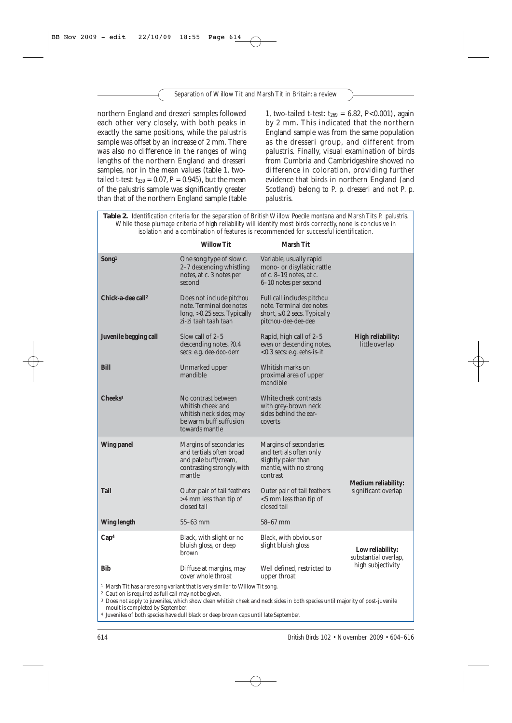northern England and *dresseri* samples followed each other very closely, with both peaks in exactly the same positions, while the *palustris* sample was offset by an increase of 2 mm. There was also no difference in the ranges of wing lengths of the northern England and *dresseri* samples, nor in the mean values (table 1, twotailed t-test:  $t_{339} = 0.07$ ,  $P = 0.945$ ), but the mean of the *palustris* sample was significantly greater than that of the northern England sample (table

1, two-tailed t-test:  $t_{269} = 6.82$ , P<0.001), again by 2 mm. This indicated that the northern England sample was from the same population as the *dresseri* group, and different from *palustris*. Finally, visual examination of birds from Cumbria and Cambridgeshire showed no difference in coloration, providing further evidence that birds in northern England (and Scotland) belong to *P. p. dresseri* and not *P. p. palustris*.

**Table 2.** Identification criteria for the separation of British Willow *Poecile montana* and Marsh Tits *P. palustris*. While those plumage criteria of high reliability will identify most birds correctly, none is conclusive in isolation and a combination of features is recommended for successful identification.

|                                                                                                                                                                                                                                                                                                                                                                                                                                             | <b>Willow Tit</b>                                                                                                                                                                                                                                                        | <b>Marsh Tit</b>                                                                                                                 |                                     |  |  |  |
|---------------------------------------------------------------------------------------------------------------------------------------------------------------------------------------------------------------------------------------------------------------------------------------------------------------------------------------------------------------------------------------------------------------------------------------------|--------------------------------------------------------------------------------------------------------------------------------------------------------------------------------------------------------------------------------------------------------------------------|----------------------------------------------------------------------------------------------------------------------------------|-------------------------------------|--|--|--|
| Song <sup>1</sup>                                                                                                                                                                                                                                                                                                                                                                                                                           | One song type of slow c.<br>2–7 descending whistling<br>notes, at c. 3 notes per<br>second                                                                                                                                                                               | Variable, usually rapid<br>mono- or disyllabic rattle<br>of c. 8–19 notes, at c.<br>6–10 notes per second                        |                                     |  |  |  |
| Chick-a-dee call <sup>2</sup>                                                                                                                                                                                                                                                                                                                                                                                                               | Does not include <i>pitchou</i><br>note. Terminal <i>dee</i> notes<br>long, >0.25 secs. Typically<br>zi-zi taah taah taah                                                                                                                                                | Full call includes <i>pitchou</i><br>note. Terminal <i>dee</i> notes<br>short, $\leq 0.2$ secs. Typically<br>pitchou-dee-dee-dee |                                     |  |  |  |
| Juvenile begging call                                                                                                                                                                                                                                                                                                                                                                                                                       | Slow call of $2-5$<br>Rapid, high call of $2-5$<br>descending notes, 20.4<br>even or descending notes,<br>secs: e.g. <i>dee-doo-derr</i><br>$< 0.3$ secs: e.g. <i>eehs-is-it</i><br>Whitish marks on<br>Unmarked upper<br>mandible<br>proximal area of upper<br>mandible |                                                                                                                                  | High reliability:<br>little overlap |  |  |  |
| <b>Bill</b>                                                                                                                                                                                                                                                                                                                                                                                                                                 |                                                                                                                                                                                                                                                                          |                                                                                                                                  |                                     |  |  |  |
| Cheeks <sup>3</sup>                                                                                                                                                                                                                                                                                                                                                                                                                         | No contrast between<br>whitish cheek and<br>whitish neck sides; may<br>be warm buff suffusion<br>towards mantle                                                                                                                                                          | White cheek contrasts<br>with grey-brown neck<br>sides behind the ear-<br>coverts                                                |                                     |  |  |  |
| <b>Wing panel</b>                                                                                                                                                                                                                                                                                                                                                                                                                           | Margins of secondaries<br>and tertials often broad<br>and pale buff/cream,<br>contrasting strongly with<br>mantle                                                                                                                                                        | Margins of secondaries<br>and tertials often only<br>slightly paler than<br>mantle, with no strong<br>contrast                   | <b>Medium reliability:</b>          |  |  |  |
| Tail                                                                                                                                                                                                                                                                                                                                                                                                                                        | Outer pair of tail feathers<br>>4 mm less than tip of<br>closed tail                                                                                                                                                                                                     | Outer pair of tail feathers<br>$<$ 5 mm less than tip of<br>closed tail                                                          | significant overlap                 |  |  |  |
| <b>Wing length</b>                                                                                                                                                                                                                                                                                                                                                                                                                          | $55-63$ mm                                                                                                                                                                                                                                                               | $58-67$ mm                                                                                                                       |                                     |  |  |  |
| Cap <sup>4</sup>                                                                                                                                                                                                                                                                                                                                                                                                                            | Black, with slight or no<br>bluish gloss, or deep<br>brown                                                                                                                                                                                                               | Low reliability:<br>substantial overlap,<br>high subjectivity                                                                    |                                     |  |  |  |
| Bib                                                                                                                                                                                                                                                                                                                                                                                                                                         | Diffuse at margins, may<br>Well defined, restricted to<br>cover whole throat<br>upper throat                                                                                                                                                                             |                                                                                                                                  |                                     |  |  |  |
| <sup>1</sup> Marsh Tit has a rare song variant that is very similar to Willow Tit song.<br><sup>2</sup> Caution is required as full call may not be given.<br><sup>3</sup> Does not apply to juveniles, which show clean whitish cheek and neck sides in both species until majority of post-juvenile<br>moult is completed by September.<br><sup>4</sup> Iuveniles of both species have dull black or deep brown cans until late Contempor |                                                                                                                                                                                                                                                                          |                                                                                                                                  |                                     |  |  |  |

<sup>4</sup> Juveniles of both species have dull black or deep brown caps until late September.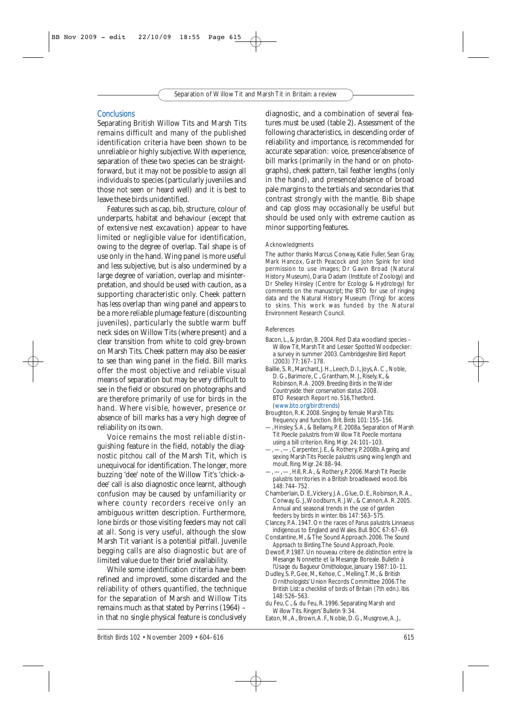#### *Conclusions*

Separating British Willow Tits and Marsh Tits remains difficult and many of the published identification criteria have been shown to be unreliable or highly subjective. With experience, separation of these two species can be straightforward, but it may not be possible to assign all individuals to species (particularly juveniles and those not seen or heard well) and it is best to leave these birds unidentified.

Features such as cap, bib, structure, colour of underparts, habitat and behaviour (except that of extensive nest excavation) appear to have limited or negligible value for identification, owing to the degree of overlap. Tail shape is of use only in the hand. Wing panel is more useful and less subjective, but is also undermined by a large degree of variation, overlap and misinterpretation, and should be used with caution, as a supporting characteristic only. Cheek pattern has less overlap than wing panel and appears to be a more reliable plumage feature (discounting juveniles), particularly the subtle warm buff neck sides on Willow Tits (where present) and a clear transition from white to cold grey-brown on Marsh Tits. Cheek pattern may also be easier to see than wing panel in the field. Bill marks offer the most objective and reliable visual means of separation but may be very difficult to see in the field or obscured on photographs and are therefore primarily of use for birds in the hand. Where visible, however, presence or absence of bill marks has a very high degree of reliability on its own.

Voice remains the most reliable distinguishing feature in the field, notably the diagnostic *pitchou* call of the Marsh Tit, which is unequivocal for identification. The longer, more buzzing 'dee' note of the Willow Tit's 'chick-adee' call is also diagnostic once learnt, although confusion may be caused by unfamiliarity or where county recorders receive only an ambiguous written description. Furthermore, lone birds or those visiting feeders may not call at all. Song is very useful, although the slow Marsh Tit variant is a potential pitfall. Juvenile begging calls are also diagnostic but are of limited value due to their brief availability.

While some identification criteria have been refined and improved, some discarded and the reliability of others quantified, the technique for the separation of Marsh and Willow Tits remains much as that stated by Perrins (1964) – in that no single physical feature is conclusively diagnostic, and a combination of several features must be used (table 2). Assessment of the following characteristics, in descending order of reliability and importance, is recommended for accurate separation: voice, presence/absence of bill marks (primarily in the hand or on photographs), cheek pattern, tail feather lengths (only in the hand), and presence/absence of broad pale margins to the tertials and secondaries that contrast strongly with the mantle. Bib shape and cap gloss may occasionally be useful but should be used only with extreme caution as minor supporting features.

#### **Acknowledgments**

The author thanks Marcus Conway, Katie Fuller, Sean Gray, Mark Hancox, Garth Peacock and John Spink for kind permission to use images; Dr Gavin Broad (Natural History Museum), Daria Dadam (Institute of Zoology) and Dr Shelley Hinsley (Centre for Ecology & Hydrology) for comments on the manuscript; the BTO for use of ringing data and the Natural History Museum (Tring) for access to skins. This work was funded by the Natural Environment Research Council.

#### References

- Bacon, L., & Jordan, B. 2004. Red Data woodland species Willow Tit, Marsh Tit and Lesser Spotted Woodpecker: a survey in summer 2003. *Cambridgeshire Bird Report* (2003) 77: 167–178.
- Baillie, S. R., Marchant, J. H., Leech, D. I., Joys, A. C., Noble, D. G., Barimore, C., Grantham, M. J., Risely, K., & Robinson, R.A. 2009. *Breeding Birds in the Wider Countryside: their conservation status 2008*. BTO Research Report no. 516,Thetford. (www.bto.org/birdtrends)
- Broughton, R. K. 2008. Singing by female Marsh Tits: frequency and function. *Brit. Birds* 101: 155–156.
- —, Hinsley, S.A., & Bellamy, P. E. 2008a. Separation of Marsh Tit *Poecile palustris* from Willow Tit *Poecile montana* using a bill criterion. *Ring. Migr.* 24: 101–103.
- , Carpenter, J. E., & Rothery, P. 2008b. Ageing and sexing Marsh Tits *Poecile palustris* using wing length and moult. *Ring. Migr*. 24: 88–94.
- —, —, —, Hill, R.A., & Rothery, P. 2006. Marsh Tit *Poecile palustris* territories in a British broadleaved wood. *Ibis* 148: 744–752.
- Chamberlain, D. E.,Vickery, J.A., Glue, D. E., Robinson, R.A., Conway, G. J.,Woodburn, R. J.W., & Cannon,A. R. 2005. Annual and seasonal trends in the use of garden feeders by birds in winter. *Ibis* 147: 563–575.
- Clancey, P.A. 1947. On the races of *Parus palustris* Linnaeus indigenous to England and Wales. *Bull. BOC* 67: 67–69.
- Constantine, M., & The Sound Approach. 2006. *The Sound Approach to Birding*.The Sound Approach, Poole.
- Dewolf, P. 1987. Un nouveau critere de distinction entre la Mesange Nonnette et la Mesange Boreale. *Bulletin à l'Usage du Bagueur Ornithologue*, January 1987: 10–11.
- Dudley, S. P., Gee, M., Kehoe, C., Melling,T. M., & British Ornithologists' Union Records Committee 2006.The British List: a checklist of birds of Britain (7th edn.). *Ibis* 148: 526–563.
- du Feu, C., & du Feu, R. 1996. Separating Marsh and Willow Tits. *Ringers' Bulletin* 9: 34.
- Eaton, M.,A., Brown,A. F., Noble, D. G., Musgrove,A. J.,